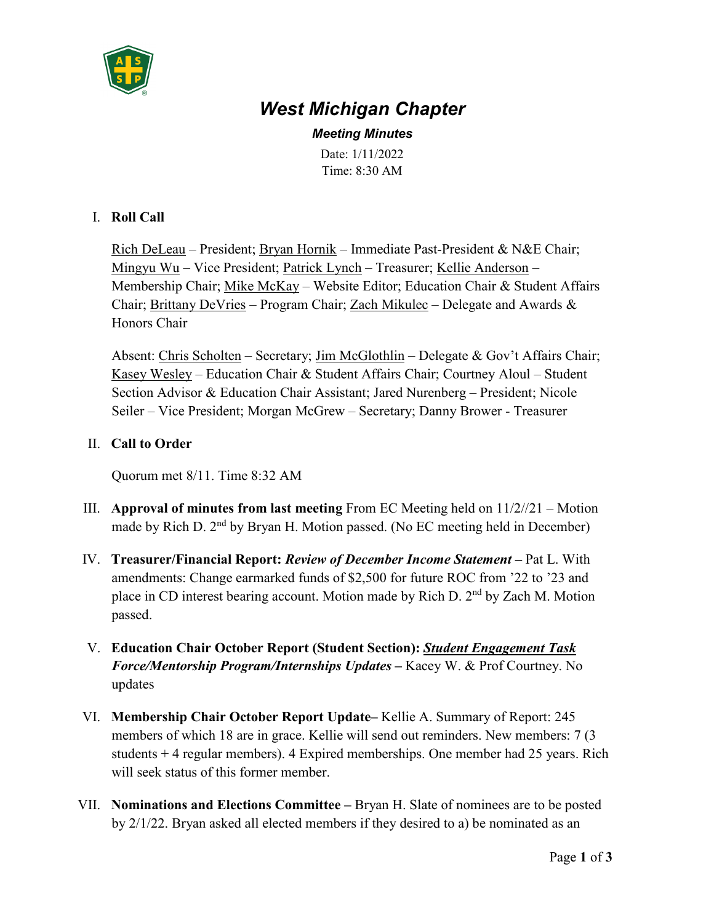

# *West Michigan Chapter*

*Meeting Minutes* Date: 1/11/2022 Time: 8:30 AM

#### I. **Roll Call**

Rich DeLeau – President; Bryan Hornik – Immediate Past-President & N&E Chair; Mingyu Wu – Vice President; Patrick Lynch – Treasurer; Kellie Anderson – Membership Chair; Mike McKay - Website Editor; Education Chair & Student Affairs Chair; Brittany DeVries – Program Chair; Zach Mikulec – Delegate and Awards  $\&$ Honors Chair

Absent: Chris Scholten – Secretary; Jim McGlothlin – Delegate & Gov't Affairs Chair; Kasey Wesley – Education Chair & Student Affairs Chair; Courtney Aloul – Student Section Advisor & Education Chair Assistant; Jared Nurenberg – President; Nicole Seiler – Vice President; Morgan McGrew – Secretary; Danny Brower - Treasurer

### II. **Call to Order**

Quorum met 8/11. Time 8:32 AM

- III. **Approval of minutes from last meeting** From EC Meeting held on 11/2//21 Motion made by Rich D. 2<sup>nd</sup> by Bryan H. Motion passed. (No EC meeting held in December)
- IV. **Treasurer/Financial Report:** *Review of December Income Statement*Pat L. With amendments: Change earmarked funds of \$2,500 for future ROC from '22 to '23 and place in CD interest bearing account. Motion made by Rich D. 2<sup>nd</sup> by Zach M. Motion passed.
- V. **Education Chair October Report (Student Section):** *Student Engagement Task Force/Mentorship Program/Internships Updates* **–** Kacey W. & Prof Courtney. No updates
- VI. **Membership Chair October Report Update–** Kellie A. Summary of Report: 245 members of which 18 are in grace. Kellie will send out reminders. New members: 7 (3 students + 4 regular members). 4 Expired memberships. One member had 25 years. Rich will seek status of this former member.
- VII. **Nominations and Elections Committee –** Bryan H. Slate of nominees are to be posted by 2/1/22. Bryan asked all elected members if they desired to a) be nominated as an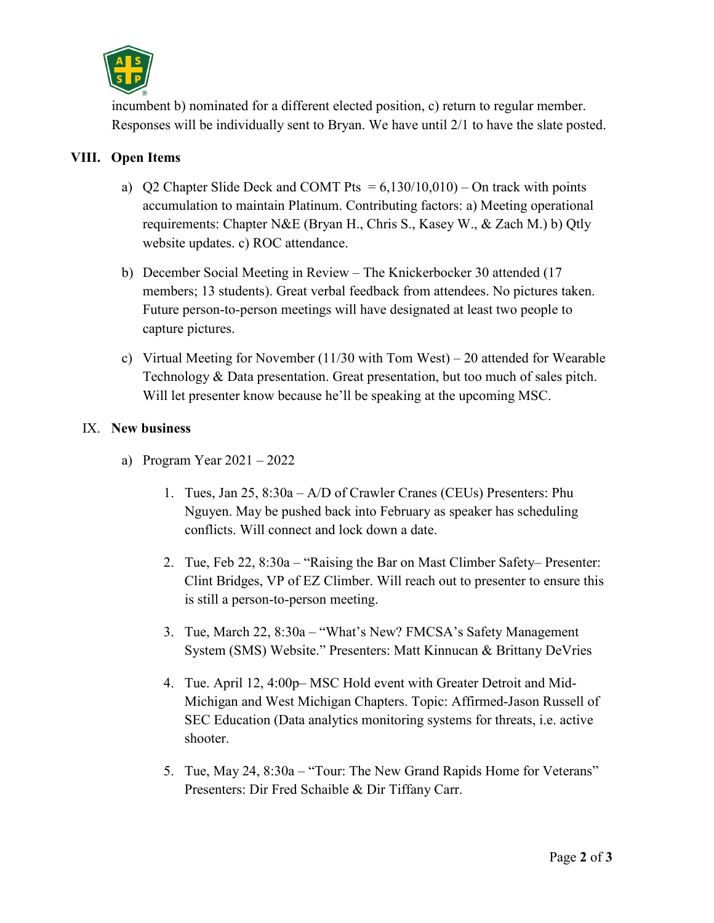

incumbent b) nominated for a different elected position, c) return to regular member. Responses will be individually sent to Bryan. We have until 2/1 to have the slate posted.

## **VIII. Open Items**

- a) O2 Chapter Slide Deck and COMT Pts  $= 6,130/10,010$  On track with points accumulation to maintain Platinum. Contributing factors: a) Meeting operational requirements: Chapter N&E (Bryan H., Chris S., Kasey W., & Zach M.) b) Qtly website updates. c) ROC attendance.
- b) December Social Meeting in Review The Knickerbocker 30 attended (17 members; 13 students). Great verbal feedback from attendees. No pictures taken. Future person-to-person meetings will have designated at least two people to capture pictures.
- c) Virtual Meeting for November (11/30 with Tom West) 20 attended for Wearable Technology & Data presentation. Great presentation, but too much of sales pitch. Will let presenter know because he'll be speaking at the upcoming MSC.

### IX. **New business**

- a) Program Year 2021 2022
	- 1. Tues, Jan 25, 8:30a A/D of Crawler Cranes (CEUs) Presenters: Phu Nguyen. May be pushed back into February as speaker has scheduling conflicts. Will connect and lock down a date.
	- 2. Tue, Feb 22, 8:30a "Raising the Bar on Mast Climber Safety– Presenter: Clint Bridges, VP of EZ Climber. Will reach out to presenter to ensure this is still a person-to-person meeting.
	- 3. Tue, March 22, 8:30a "What's New? FMCSA's Safety Management System (SMS) Website." Presenters: Matt Kinnucan & Brittany DeVries
	- 4. Tue. April 12, 4:00p– MSC Hold event with Greater Detroit and Mid-Michigan and West Michigan Chapters. Topic: Affirmed-Jason Russell of SEC Education (Data analytics monitoring systems for threats, i.e. active shooter.
	- 5. Tue, May 24, 8:30a "Tour: The New Grand Rapids Home for Veterans" Presenters: Dir Fred Schaible & Dir Tiffany Carr.